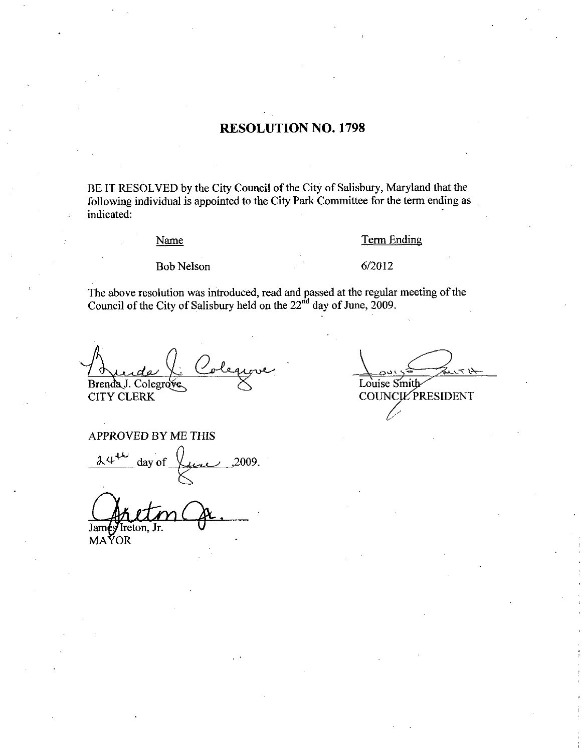#### RESOLUTION NO. 1798

BE IT RESOLVED by the City Council of the City of Salisbury, Maryland that the following individual is appointed to the City Park Committee for the term ending as indicated

#### Name

## Term Ending <u>Term E</u><br>6/2012

Bob Nelson

The above resolution was introduced, read and passed at the regular meeting of the Council of the City of Salisbury held on the  $22<sup>nd</sup>$  day of June, 2009.

rve Brenda J. Colegrove

CITY CLERK

#### APPROVED BY ME THIS

 $24^{11}$ day of  $\overline{\smash{\bigcup_{\text{true}}}}$ , 2009

Jamés Ireton, Jr.

MAYOR

Louise Smith

COUNCIL PRESIDENT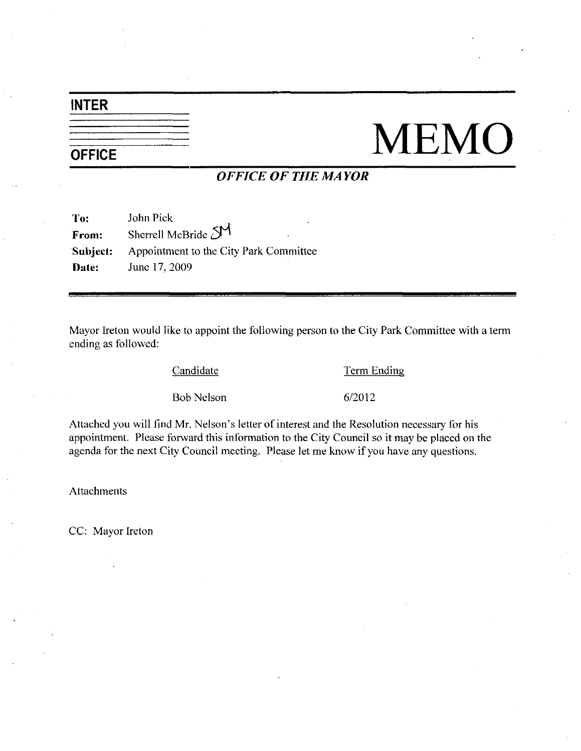## INTER

# NEMO

### OFFICE OF THE MAYOR

| To:          | John Pick                              |
|--------------|----------------------------------------|
| From:        | Sherrell McBride SM                    |
| Subject:     | Appointment to the City Park Committee |
| <b>Date:</b> | June 17, 2009                          |

Mayor Ireton would like to appoint the following person to the City Park Committee with a term ending as followed:

Candidate Term Ending

Example 12 Candidate<br>Bob Nelson 6/2012

Candidate Term Ending<br>
Bob Nelson 6/2012<br>
Attached you will find Mr. Nelson's letter of interest and the Resolution necessary for his<br>
appointment. Please forward this information to the City Council so it may be placed on agenda for the next City Council meeting. Please let me know if you have any questions.

Attachments

CC: Mayor Ireton